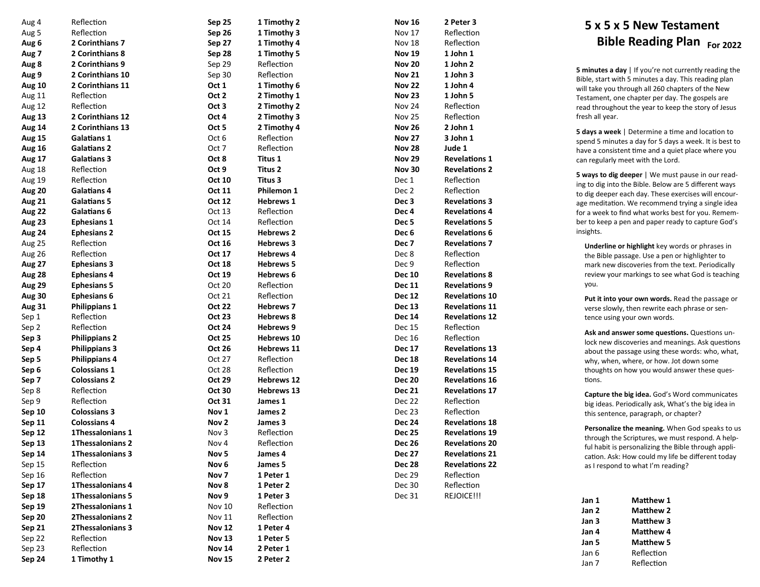| Aug 4         | Reflection              | Sep 25           | 1 Timothy 2       |
|---------------|-------------------------|------------------|-------------------|
| Aug 5         | Reflection              | Sep 26           | 1 Timothy 3       |
| Aug 6         | 2 Corinthians 7         | Sep 27           | 1 Timothy 4       |
| Aug 7         | 2 Corinthians 8         | Sep 28           | 1 Timothy 5       |
| Aug 8         | 2 Corinthians 9         | Sep 29           | Reflection        |
| Aug 9         | 2 Corinthians 10        | Sep 30           | Reflection        |
| Aug 10        | 2 Corinthians 11        | Oct 1            | 1 Timothy 6       |
| Aug 11        | Reflection              | Oct 2            | 2 Timothy 1       |
| Aug 12        | Reflection              | Oct 3            | 2 Timothy 2       |
| <b>Aug 13</b> | 2 Corinthians 12        | Oct 4            | 2 Timothy 3       |
| Aug 14        | 2 Corinthians 13        | Oct 5            | 2 Timothy 4       |
| <b>Aug 15</b> | <b>Galatians 1</b>      | Oct 6            | Reflection        |
| <b>Aug 16</b> | <b>Galatians 2</b>      | Oct 7            | Reflection        |
| <b>Aug 17</b> | <b>Galatians 3</b>      | Oct 8            | Titus 1           |
| Aug 18        | Reflection              | Oct 9            | Titus 2           |
| Aug 19        | Reflection              | Oct 10           | Titus 3           |
| <b>Aug 20</b> | <b>Galatians 4</b>      | Oct 11           | Philemon 1        |
| <b>Aug 21</b> | <b>Galatians 5</b>      | Oct 12           | <b>Hebrews 1</b>  |
| Aug 22        | <b>Galatians 6</b>      | Oct 13           | Reflection        |
| Aug 23        | <b>Ephesians 1</b>      | Oct 14           | Reflection        |
| <b>Aug 24</b> | <b>Ephesians 2</b>      | Oct 15           | <b>Hebrews 2</b>  |
| <b>Aug 25</b> | Reflection              | Oct 16           | <b>Hebrews 3</b>  |
| <b>Aug 26</b> | Reflection              | Oct 17           | <b>Hebrews 4</b>  |
| <b>Aug 27</b> | <b>Ephesians 3</b>      | Oct 18           | <b>Hebrews 5</b>  |
| <b>Aug 28</b> | <b>Ephesians 4</b>      | Oct 19           | <b>Hebrews 6</b>  |
| <b>Aug 29</b> | <b>Ephesians 5</b>      | Oct 20           | Reflection        |
| <b>Aug 30</b> | <b>Ephesians 6</b>      | Oct 21           | Reflection        |
| <b>Aug 31</b> | <b>Philippians 1</b>    | Oct 22           | <b>Hebrews 7</b>  |
| Sep 1         | Reflection              | Oct 23           | <b>Hebrews 8</b>  |
| Sep 2         | Reflection              | Oct 24           | <b>Hebrews 9</b>  |
| Sep 3         | <b>Philippians 2</b>    | Oct 25           | Hebrews 10        |
| Sep 4         | <b>Philippians 3</b>    | <b>Oct 26</b>    | <b>Hebrews 11</b> |
| Sep 5         | <b>Philippians 4</b>    | Oct 27           | Reflection        |
| Sep 6         | <b>Colossians 1</b>     | Oct 28           | Reflection        |
| Sep 7         | <b>Colossians 2</b>     | Oct 29           | <b>Hebrews 12</b> |
| Sep 8         | Reflection              | Oct 30           | <b>Hebrews 13</b> |
| Sep 9         | Reflection              | Oct 31           | James 1           |
| Sep 10        | <b>Colossians 3</b>     | Nov 1            | James 2           |
| Sep 11        | <b>Colossians 4</b>     | Nov 2            | James 3           |
| <b>Sep 12</b> | 1Thessalonians 1        | Nov 3            | Reflection        |
| Sep 13        | <b>1Thessalonians 2</b> | Nov 4            | Reflection        |
| Sep 14        | 1Thessalonians 3        | Nov <sub>5</sub> | James 4           |
| Sep 15        | Reflection              | Nov <sub>6</sub> | James 5           |
| Sep 16        | Reflection              | Nov 7            | 1 Peter 1         |
| Sep 17        | 1Thessalonians 4        | Nov 8            | 1 Peter 2         |
| Sep 18        | 1Thessalonians 5        | Nov 9            | 1 Peter 3         |
| Sep 19        | 2Thessalonians 1        | Nov 10           | Reflection        |
| <b>Sep 20</b> | 2Thessalonians 2        | Nov 11           | Reflection        |
| Sep 21        |                         |                  |                   |
|               | 2Thessalonians 3        | <b>Nov 12</b>    | 1 Peter 4         |
| Sep 22        | Reflection              | <b>Nov 13</b>    | 1 Peter 5         |
| Sep 23        | Reflection              | <b>Nov 14</b>    | 2 Peter 1         |

| <b>Nov 16</b>    | 2 Peter 3             |
|------------------|-----------------------|
| Nov 17           | Reflection            |
| <b>Nov 18</b>    | Reflection            |
| <b>Nov 19</b>    | 1 John 1              |
| <b>Nov 20</b>    | 1 John 2              |
| <b>Nov 21</b>    | 1 John 3              |
| <b>Nov 22</b>    | 1 John 4              |
| <b>Nov 23</b>    | 1 John 5              |
| Nov 24           | Reflection            |
| <b>Nov 25</b>    | Reflection            |
| <b>Nov 26</b>    | 2 John 1              |
| <b>Nov 27</b>    | 3 John 1              |
| <b>Nov 28</b>    | Jude 1                |
| <b>Nov 29</b>    | <b>Revelations 1</b>  |
| <b>Nov 30</b>    | <b>Revelations 2</b>  |
| Dec 1            | Reflection            |
| Dec <sub>2</sub> | Reflection            |
| Dec <sub>3</sub> | <b>Revelations 3</b>  |
| Dec <sub>4</sub> | <b>Revelations 4</b>  |
| Dec <sub>5</sub> | <b>Revelations 5</b>  |
| Dec <sub>6</sub> | <b>Revelations 6</b>  |
| Dec <sub>7</sub> | <b>Revelations 7</b>  |
| Dec 8            | Reflection            |
| Dec 9            | Reflection            |
| <b>Dec 10</b>    | <b>Revelations 8</b>  |
| <b>Dec 11</b>    | <b>Revelations 9</b>  |
| <b>Dec 12</b>    | <b>Revelations 10</b> |
| <b>Dec 13</b>    | <b>Revelations 11</b> |
| <b>Dec 14</b>    | <b>Revelations 12</b> |
| Dec 15           | Reflection            |
| Dec 16           | Reflection            |
| <b>Dec 17</b>    | <b>Revelations 13</b> |
| <b>Dec 18</b>    | <b>Revelations 14</b> |
| <b>Dec 19</b>    | <b>Revelations 15</b> |
| <b>Dec 20</b>    | <b>Revelations 16</b> |
| <b>Dec 21</b>    | <b>Revelations 17</b> |
| Dec 22           | Reflection            |
| Dec 23           | Reflection            |
| <b>Dec 24</b>    | <b>Revelations 18</b> |
| <b>Dec 25</b>    | <b>Revelations 19</b> |
| <b>Dec 26</b>    | <b>Revelations 20</b> |
| <b>Dec 27</b>    | <b>Revelations 21</b> |
| <b>Dec 28</b>    | <b>Revelations 22</b> |
| Dec 29           | Reflection            |
| Dec 30           | Reflection            |
| Dec 31           | REJOICE!!!            |
|                  |                       |

## **5 x 5 x 5 New Testament Bible Reading Plan For 2022**

**5 minutes a day** | If you're not currently reading the Bible, start with 5 minutes a day. This reading plan will take you through all 260 chapters of the New Testament, one chapter per day. The gospels are read throughout the year to keep the story of Jesus fresh all year.

**5 days a week** | Determine a time and location to spend 5 minutes a day for 5 days a week. It is best to have a consistent time and a quiet place where you can regularly meet with the Lord.

**5 ways to dig deeper** | We must pause in our reading to dig into the Bible. Below are 5 different ways to dig deeper each day. These exercises will encourage meditation. We recommend trying a single idea for a week to find what works best for you. Remember to keep a pen and paper ready to capture God's insights.

**Underline or highlight** key words or phrases in the Bible passage. Use a pen or highlighter to mark new discoveries from the text. Periodically review your markings to see what God is teaching you.

**Put it into your own words.** Read the passage or verse slowly, then rewrite each phrase or sentence using your own words.

**Ask and answer some questions.** Questions unlock new discoveries and meanings. Ask questions about the passage using these words: who, what, why, when, where, or how. Jot down some thoughts on how you would answer these questions.

**Capture the big idea.** God 's Word communicates big ideas. Periodically ask, What 's the big idea in this sentence, paragraph, or chapter?

**Personalize the meaning.** When God speaks to us through the Scriptures, we must respond. A helpful habit is personalizing the Bible through application. Ask: How could my life be different today as I respond to what I 'm reading?

| Jan 1 | <b>Matthew 1</b> |
|-------|------------------|
| Jan 2 | <b>Matthew 2</b> |
| Jan 3 | Matthew 3        |
| Jan 4 | <b>Matthew 4</b> |
| Jan 5 | <b>Matthew 5</b> |
| Jan 6 | Reflection       |
| Jan 7 | Reflection       |
|       |                  |